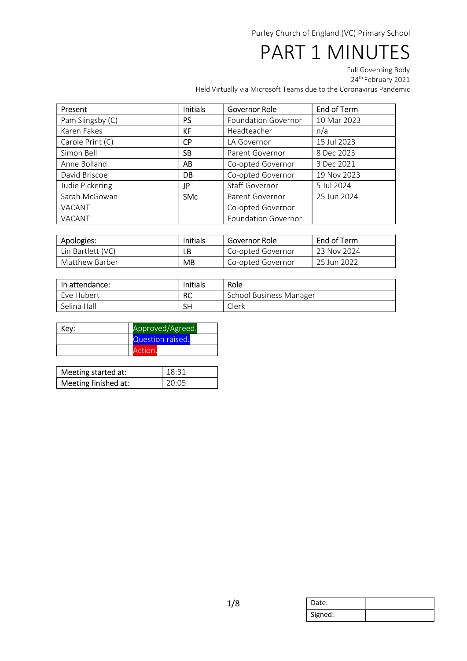# PART 1 MINUTES

Full Governing Body 24th February 2021

| Present          | <b>Initials</b> | Governor Role              | End of Term |
|------------------|-----------------|----------------------------|-------------|
| Pam Slingsby (C) | <b>PS</b>       | <b>Foundation Governor</b> | 10 Mar 2023 |
| Karen Fakes      | KF              | Headteacher                | n/a         |
| Carole Print (C) | <b>CP</b>       | LA Governor                | 15 Jul 2023 |
| Simon Bell       | <b>SB</b>       | Parent Governor            | 8 Dec 2023  |
| Anne Bolland     | AB              | Co-opted Governor          | 3 Dec 2021  |
| David Briscoe    | DB              | Co-opted Governor          | 19 Nov 2023 |
| Judie Pickering  | JP              | Staff Governor             | 5 Jul 2024  |
| Sarah McGowan    | <b>SMc</b>      | Parent Governor            | 25 Jun 2024 |
| VACANT           |                 | Co-opted Governor          |             |
| VACANT           |                 | <b>Foundation Governor</b> |             |

| Apologies:        | Initials | Governor Role     | End of Term |  |
|-------------------|----------|-------------------|-------------|--|
| Lin Bartlett (VC) | LB       | Co-opted Governor | 23 Nov 2024 |  |
| Matthew Barber    | МB       | Co-opted Governor | 25 Jun 2022 |  |

| In attendance: | Initials | Role                    |
|----------------|----------|-------------------------|
| Eve Hubert     | RC       | School Business Manager |
| Selina Hall    | SH       | Clerk                   |

| Key: | Approved/Agreed. |  |
|------|------------------|--|
|      | Question raised. |  |
|      | Action           |  |

| Meeting started at:  | 18:31 |
|----------------------|-------|
| Meeting finished at: | 20:05 |

| Date:   |  |
|---------|--|
| Signed: |  |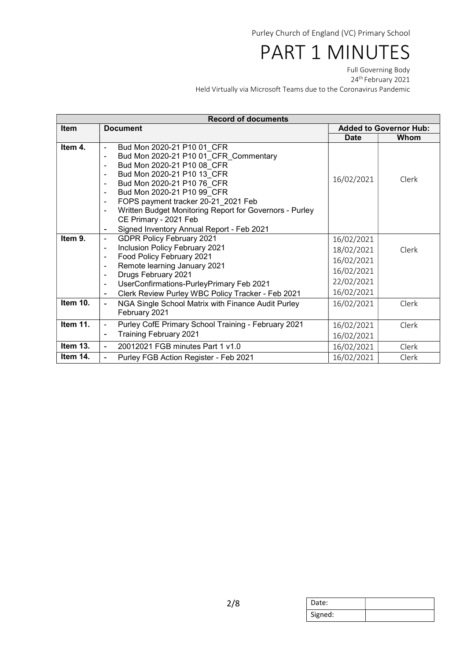# PART 1 MINUTES

Full Governing Body 24th February 2021

| <b>Record of documents</b> |                                                                                 |             |                               |  |  |
|----------------------------|---------------------------------------------------------------------------------|-------------|-------------------------------|--|--|
| <b>Item</b>                | <b>Document</b>                                                                 |             | <b>Added to Governor Hub:</b> |  |  |
|                            |                                                                                 | <b>Date</b> | Whom                          |  |  |
| Item 4.                    | Bud Mon 2020-21 P10 01 CFR<br>$\blacksquare$                                    |             |                               |  |  |
|                            | Bud Mon 2020-21 P10 01 CFR Commentary<br>$\blacksquare$                         |             |                               |  |  |
|                            | Bud Mon 2020-21 P10 08 CFR<br>$\blacksquare$                                    |             |                               |  |  |
|                            | Bud Mon 2020-21 P10 13 CFR<br>$\blacksquare$                                    | 16/02/2021  | Clerk                         |  |  |
|                            | Bud Mon 2020-21 P10 76 CFR<br>$\blacksquare$                                    |             |                               |  |  |
|                            | Bud Mon 2020-21 P10 99 CFR<br>$\blacksquare$                                    |             |                               |  |  |
|                            | FOPS payment tracker 20-21_2021 Feb<br>$\blacksquare$                           |             |                               |  |  |
|                            | Written Budget Monitoring Report for Governors - Purley                         |             |                               |  |  |
|                            | CE Primary - 2021 Feb                                                           |             |                               |  |  |
|                            | Signed Inventory Annual Report - Feb 2021<br>$\overline{\phantom{a}}$           |             |                               |  |  |
| Item 9.                    | <b>GDPR Policy February 2021</b><br>$\blacksquare$                              | 16/02/2021  |                               |  |  |
|                            | Inclusion Policy February 2021<br>$\blacksquare$                                | 18/02/2021  | Clerk                         |  |  |
|                            | Food Policy February 2021<br>$\blacksquare$                                     | 16/02/2021  |                               |  |  |
|                            | Remote learning January 2021<br>$\blacksquare$                                  | 16/02/2021  |                               |  |  |
|                            | Drugs February 2021<br>$\blacksquare$                                           | 22/02/2021  |                               |  |  |
|                            | UserConfirmations-PurleyPrimary Feb 2021<br>$\blacksquare$                      |             |                               |  |  |
|                            | Clerk Review Purley WBC Policy Tracker - Feb 2021                               | 16/02/2021  |                               |  |  |
| Item 10.                   | NGA Single School Matrix with Finance Audit Purley<br>$\blacksquare$            | 16/02/2021  | Clerk                         |  |  |
|                            | February 2021                                                                   |             |                               |  |  |
| Item 11.                   | Purley CofE Primary School Training - February 2021<br>$\overline{\phantom{a}}$ | 16/02/2021  | Clerk                         |  |  |
|                            | <b>Training February 2021</b><br>$\blacksquare$                                 | 16/02/2021  |                               |  |  |
| Item 13.                   | 20012021 FGB minutes Part 1 v1.0                                                | 16/02/2021  | Clerk                         |  |  |
| Item 14.                   | Purley FGB Action Register - Feb 2021                                           | 16/02/2021  | Clerk                         |  |  |

| Date:   |  |
|---------|--|
| Signed: |  |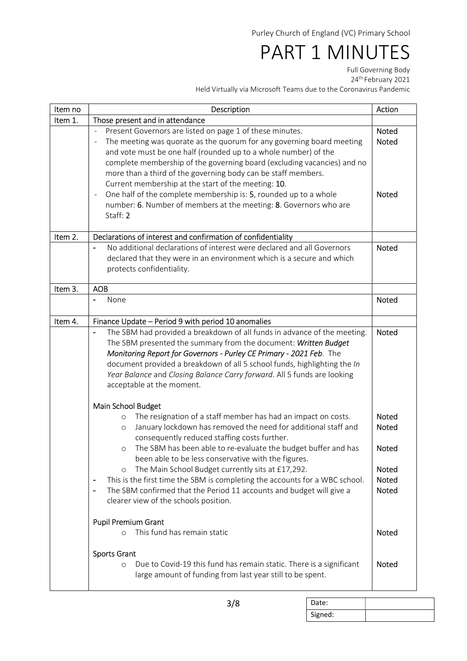## PART 1 MINUTES

Full Governing Body 24th February 2021

| Item no | Description                                                                                                                                                                                                                                                                                                                                                                                                                                                                                                                                                                                                                                                 | Action                                                                                |
|---------|-------------------------------------------------------------------------------------------------------------------------------------------------------------------------------------------------------------------------------------------------------------------------------------------------------------------------------------------------------------------------------------------------------------------------------------------------------------------------------------------------------------------------------------------------------------------------------------------------------------------------------------------------------------|---------------------------------------------------------------------------------------|
| Item 1. | Those present and in attendance                                                                                                                                                                                                                                                                                                                                                                                                                                                                                                                                                                                                                             |                                                                                       |
|         | Present Governors are listed on page 1 of these minutes.<br>The meeting was quorate as the quorum for any governing board meeting<br>$\overline{\phantom{a}}$<br>and vote must be one half (rounded up to a whole number) of the<br>complete membership of the governing board (excluding vacancies) and no<br>more than a third of the governing body can be staff members.<br>Current membership at the start of the meeting: 10.<br>One half of the complete membership is: 5, rounded up to a whole<br>$\overline{\phantom{a}}$<br>number: 6. Number of members at the meeting: 8. Governors who are<br>Staff: 2                                        | <b>Noted</b><br><b>Noted</b><br><b>Noted</b>                                          |
| Item 2. | Declarations of interest and confirmation of confidentiality                                                                                                                                                                                                                                                                                                                                                                                                                                                                                                                                                                                                |                                                                                       |
|         | No additional declarations of interest were declared and all Governors<br>declared that they were in an environment which is a secure and which<br>protects confidentiality.                                                                                                                                                                                                                                                                                                                                                                                                                                                                                | <b>Noted</b>                                                                          |
| Item 3. | <b>AOB</b>                                                                                                                                                                                                                                                                                                                                                                                                                                                                                                                                                                                                                                                  |                                                                                       |
|         | None                                                                                                                                                                                                                                                                                                                                                                                                                                                                                                                                                                                                                                                        | Noted                                                                                 |
| Item 4. | Finance Update - Period 9 with period 10 anomalies                                                                                                                                                                                                                                                                                                                                                                                                                                                                                                                                                                                                          |                                                                                       |
|         | The SBM had provided a breakdown of all funds in advance of the meeting.<br>The SBM presented the summary from the document: Written Budget<br>Monitoring Report for Governors - Purley CE Primary - 2021 Feb. The<br>document provided a breakdown of all 5 school funds, highlighting the In<br>Year Balance and Closing Balance Carry forward. All 5 funds are looking<br>acceptable at the moment.                                                                                                                                                                                                                                                      | <b>Noted</b>                                                                          |
|         | Main School Budget<br>The resignation of a staff member has had an impact on costs.<br>$\circ$<br>January lockdown has removed the need for additional staff and<br>$\circ$<br>consequently reduced staffing costs further.<br>The SBM has been able to re-evaluate the budget buffer and has<br>$\circ$<br>been able to be less conservative with the figures.<br>The Main School Budget currently sits at £17,292.<br>$\circ$<br>This is the first time the SBM is completing the accounts for a WBC school.<br>$\overline{\phantom{0}}$<br>The SBM confirmed that the Period 11 accounts and budget will give a<br>clearer view of the schools position. | Noted<br><b>Noted</b><br><b>Noted</b><br><b>Noted</b><br><b>Noted</b><br><b>Noted</b> |
|         | <b>Pupil Premium Grant</b><br>This fund has remain static<br>$\Omega$                                                                                                                                                                                                                                                                                                                                                                                                                                                                                                                                                                                       |                                                                                       |
|         | <b>Sports Grant</b><br>Due to Covid-19 this fund has remain static. There is a significant<br>$\circ$<br>large amount of funding from last year still to be spent.                                                                                                                                                                                                                                                                                                                                                                                                                                                                                          | <b>Noted</b>                                                                          |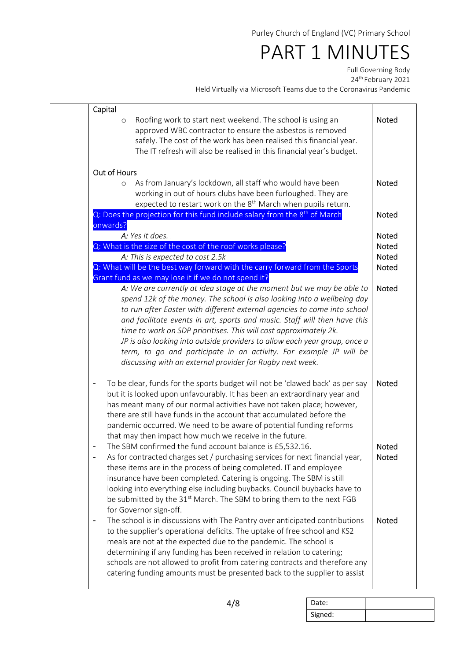## PART 1 MINUTES

Full Governing Body 24th February 2021

| Capital                  |                                                                                                                                                                                                                                                                                                                                                                                                                                                                                                                                                                                                 |                       |
|--------------------------|-------------------------------------------------------------------------------------------------------------------------------------------------------------------------------------------------------------------------------------------------------------------------------------------------------------------------------------------------------------------------------------------------------------------------------------------------------------------------------------------------------------------------------------------------------------------------------------------------|-----------------------|
| $\circ$                  | Roofing work to start next weekend. The school is using an<br>approved WBC contractor to ensure the asbestos is removed<br>safely. The cost of the work has been realised this financial year.                                                                                                                                                                                                                                                                                                                                                                                                  | Noted                 |
|                          | The IT refresh will also be realised in this financial year's budget.                                                                                                                                                                                                                                                                                                                                                                                                                                                                                                                           |                       |
| Out of Hours             |                                                                                                                                                                                                                                                                                                                                                                                                                                                                                                                                                                                                 |                       |
| $\circ$                  | As from January's lockdown, all staff who would have been<br>working in out of hours clubs have been furloughed. They are<br>expected to restart work on the 8 <sup>th</sup> March when pupils return.                                                                                                                                                                                                                                                                                                                                                                                          | <b>Noted</b>          |
|                          | Q: Does the projection for this fund include salary from the 8 <sup>th</sup> of March                                                                                                                                                                                                                                                                                                                                                                                                                                                                                                           | <b>Noted</b>          |
| onwards?                 | A: Yes it does.                                                                                                                                                                                                                                                                                                                                                                                                                                                                                                                                                                                 | Noted                 |
|                          | Q: What is the size of the cost of the roof works please?                                                                                                                                                                                                                                                                                                                                                                                                                                                                                                                                       | Noted                 |
|                          | A: This is expected to cost 2.5k                                                                                                                                                                                                                                                                                                                                                                                                                                                                                                                                                                | Noted                 |
|                          | Q: What will be the best way forward with the carry forward from the Sports<br>Grant fund as we may lose it if we do not spend it?                                                                                                                                                                                                                                                                                                                                                                                                                                                              | <b>Noted</b>          |
|                          | A: We are currently at idea stage at the moment but we may be able to<br>spend 12k of the money. The school is also looking into a wellbeing day<br>to run after Easter with different external agencies to come into school<br>and facilitate events in art, sports and music. Staff will then have this<br>time to work on SDP prioritises. This will cost approximately 2k.<br>JP is also looking into outside providers to allow each year group, once a<br>term, to go and participate in an activity. For example JP will be<br>discussing with an external provider for Rugby next week. | <b>Noted</b>          |
| $\overline{\phantom{0}}$ | To be clear, funds for the sports budget will not be 'clawed back' as per say<br>but it is looked upon unfavourably. It has been an extraordinary year and<br>has meant many of our normal activities have not taken place; however,<br>there are still have funds in the account that accumulated before the<br>pandemic occurred. We need to be aware of potential funding reforms<br>that may then impact how much we receive in the future.                                                                                                                                                 | <b>Noted</b>          |
|                          | The SBM confirmed the fund account balance is £5,532.16.<br>As for contracted charges set / purchasing services for next financial year,<br>these items are in the process of being completed. IT and employee<br>insurance have been completed. Catering is ongoing. The SBM is still<br>looking into everything else including buybacks. Council buybacks have to<br>be submitted by the 31 <sup>st</sup> March. The SBM to bring them to the next FGB<br>for Governor sign-off.                                                                                                              | <b>Noted</b><br>Noted |
|                          | The school is in discussions with The Pantry over anticipated contributions<br>to the supplier's operational deficits. The uptake of free school and KS2<br>meals are not at the expected due to the pandemic. The school is<br>determining if any funding has been received in relation to catering;<br>schools are not allowed to profit from catering contracts and therefore any<br>catering funding amounts must be presented back to the supplier to assist                                                                                                                               | <b>Noted</b>          |

| Date:   |  |
|---------|--|
| Signed: |  |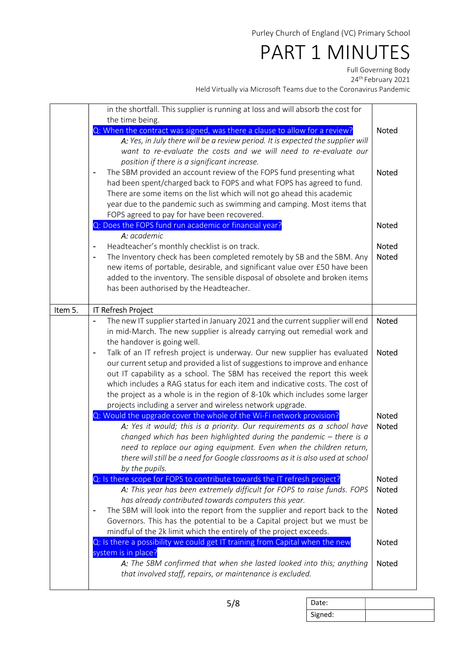#### PART 1 MINUTES

Full Governing Body

24th February 2021

Held Virtually via Microsoft Teams due to the Coronavirus Pandemic

|         | in the shortfall. This supplier is running at loss and will absorb the cost for<br>the time being.<br>Q: When the contract was signed, was there a clause to allow for a review?<br>A: Yes, in July there will be a review period. It is expected the supplier will<br>want to re-evaluate the costs and we will need to re-evaluate our<br>position if there is a significant increase.<br>The SBM provided an account review of the FOPS fund presenting what<br>had been spent/charged back to FOPS and what FOPS has agreed to fund.<br>There are some items on the list which will not go ahead this academic<br>year due to the pandemic such as swimming and camping. Most items that<br>FOPS agreed to pay for have been recovered.<br>Q: Does the FOPS fund run academic or financial year?<br>A: academic<br>Headteacher's monthly checklist is on track.<br>The Inventory check has been completed remotely by SB and the SBM. Any<br>$\overline{\phantom{a}}$<br>new items of portable, desirable, and significant value over £50 have been<br>added to the inventory. The sensible disposal of obsolete and broken items<br>has been authorised by the Headteacher. | <b>Noted</b><br><b>Noted</b><br><b>Noted</b><br><b>Noted</b><br><b>Noted</b> |
|---------|----------------------------------------------------------------------------------------------------------------------------------------------------------------------------------------------------------------------------------------------------------------------------------------------------------------------------------------------------------------------------------------------------------------------------------------------------------------------------------------------------------------------------------------------------------------------------------------------------------------------------------------------------------------------------------------------------------------------------------------------------------------------------------------------------------------------------------------------------------------------------------------------------------------------------------------------------------------------------------------------------------------------------------------------------------------------------------------------------------------------------------------------------------------------------------|------------------------------------------------------------------------------|
| Item 5. | <b>IT Refresh Project</b>                                                                                                                                                                                                                                                                                                                                                                                                                                                                                                                                                                                                                                                                                                                                                                                                                                                                                                                                                                                                                                                                                                                                                        |                                                                              |
|         | The new IT supplier started in January 2021 and the current supplier will end<br>in mid-March. The new supplier is already carrying out remedial work and<br>the handover is going well.<br>Talk of an IT refresh project is underway. Our new supplier has evaluated<br>$\blacksquare$<br>our current setup and provided a list of suggestions to improve and enhance<br>out IT capability as a school. The SBM has received the report this week<br>which includes a RAG status for each item and indicative costs. The cost of<br>the project as a whole is in the region of 8-10k which includes some larger<br>projects including a server and wireless network upgrade.                                                                                                                                                                                                                                                                                                                                                                                                                                                                                                    | <b>Noted</b><br><b>Noted</b>                                                 |
|         | Q: Would the upgrade cover the whole of the Wi-Fi network provision?<br>A: Yes it would; this is a priority. Our requirements as a school have<br>changed which has been highlighted during the pandemic $-$ there is a<br>need to replace our aging equipment. Even when the children return,<br>there will still be a need for Google classrooms as it is also used at school<br>by the pupils.                                                                                                                                                                                                                                                                                                                                                                                                                                                                                                                                                                                                                                                                                                                                                                                | <b>Noted</b><br>Noted                                                        |
|         | Q: Is there scope for FOPS to contribute towards the IT refresh project?<br>A: This year has been extremely difficult for FOPS to raise funds. FOPS<br>has already contributed towards computers this year.<br>The SBM will look into the report from the supplier and report back to the<br>Governors. This has the potential to be a Capital project but we must be                                                                                                                                                                                                                                                                                                                                                                                                                                                                                                                                                                                                                                                                                                                                                                                                            | <b>Noted</b><br><b>Noted</b><br><b>Noted</b>                                 |
|         | mindful of the 2k limit which the entirely of the project exceeds.<br>Q: Is there a possibility we could get IT training from Capital when the new<br>system is in place?<br>A: The SBM confirmed that when she lasted looked into this; anything<br>that involved staff, repairs, or maintenance is excluded.                                                                                                                                                                                                                                                                                                                                                                                                                                                                                                                                                                                                                                                                                                                                                                                                                                                                   | <b>Noted</b><br>Noted                                                        |

Date: Signed: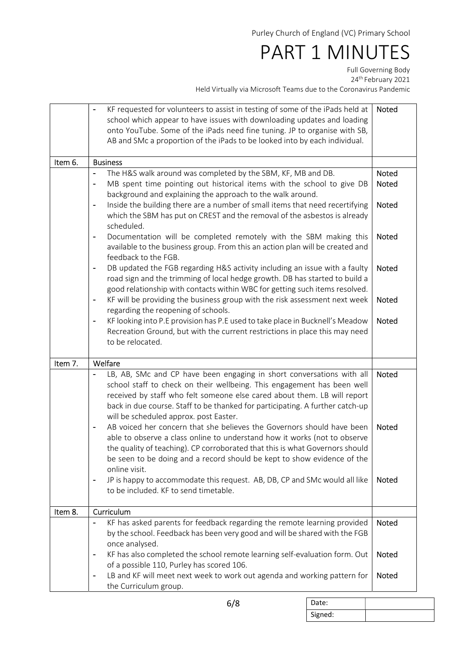#### PART 1 MINUTES

Full Governing Body 24th February 2021

Held Virtually via Microsoft Teams due to the Coronavirus Pande

| ams que to the Coronavirus Pandemic |  |  |  |  |  |
|-------------------------------------|--|--|--|--|--|
|                                     |  |  |  |  |  |

|         | KF requested for volunteers to assist in testing of some of the iPads held at<br>school which appear to have issues with downloading updates and loading<br>onto YouTube. Some of the iPads need fine tuning. JP to organise with SB,<br>AB and SMc a proportion of the iPads to be looked into by each individual.                                                                                                                                                                                                                                                                                                                                                                                                                                                                                                                           | Noted                                   |
|---------|-----------------------------------------------------------------------------------------------------------------------------------------------------------------------------------------------------------------------------------------------------------------------------------------------------------------------------------------------------------------------------------------------------------------------------------------------------------------------------------------------------------------------------------------------------------------------------------------------------------------------------------------------------------------------------------------------------------------------------------------------------------------------------------------------------------------------------------------------|-----------------------------------------|
| Item 6. | <b>Business</b>                                                                                                                                                                                                                                                                                                                                                                                                                                                                                                                                                                                                                                                                                                                                                                                                                               |                                         |
|         | The H&S walk around was completed by the SBM, KF, MB and DB.<br>MB spent time pointing out historical items with the school to give DB<br>$\overline{\phantom{0}}$<br>background and explaining the approach to the walk around.<br>Inside the building there are a number of small items that need recertifying<br>$\overline{a}$<br>which the SBM has put on CREST and the removal of the asbestos is already<br>scheduled.<br>Documentation will be completed remotely with the SBM making this<br>$\overline{a}$<br>available to the business group. From this an action plan will be created and<br>feedback to the FGB.                                                                                                                                                                                                                 | Noted<br>Noted<br>Noted<br><b>Noted</b> |
|         | DB updated the FGB regarding H&S activity including an issue with a faulty<br>$\overline{\phantom{0}}$<br>road sign and the trimming of local hedge growth. DB has started to build a<br>good relationship with contacts within WBC for getting such items resolved.<br>KF will be providing the business group with the risk assessment next week<br>$\overline{\phantom{a}}$                                                                                                                                                                                                                                                                                                                                                                                                                                                                | Noted<br><b>Noted</b>                   |
|         | regarding the reopening of schools.<br>KF looking into P.E provision has P.E used to take place in Bucknell's Meadow<br>$\overline{a}$<br>Recreation Ground, but with the current restrictions in place this may need<br>to be relocated.                                                                                                                                                                                                                                                                                                                                                                                                                                                                                                                                                                                                     | <b>Noted</b>                            |
| Item 7. | Welfare                                                                                                                                                                                                                                                                                                                                                                                                                                                                                                                                                                                                                                                                                                                                                                                                                                       |                                         |
|         | LB, AB, SMc and CP have been engaging in short conversations with all<br>school staff to check on their wellbeing. This engagement has been well<br>received by staff who felt someone else cared about them. LB will report<br>back in due course. Staff to be thanked for participating. A further catch-up<br>will be scheduled approx. post Easter.<br>AB voiced her concern that she believes the Governors should have been<br>able to observe a class online to understand how it works (not to observe<br>the quality of teaching). CP corroborated that this is what Governors should<br>be seen to be doing and a record should be kept to show evidence of the<br>online visit.<br>JP is happy to accommodate this request. AB, DB, CP and SMc would all like<br>$\overline{\phantom{a}}$<br>to be included. KF to send timetable. | <b>Noted</b><br><b>Noted</b><br>Noted   |
|         |                                                                                                                                                                                                                                                                                                                                                                                                                                                                                                                                                                                                                                                                                                                                                                                                                                               |                                         |
| Item 8. | Curriculum                                                                                                                                                                                                                                                                                                                                                                                                                                                                                                                                                                                                                                                                                                                                                                                                                                    |                                         |
|         | KF has asked parents for feedback regarding the remote learning provided<br>$\overline{\phantom{a}}$<br>by the school. Feedback has been very good and will be shared with the FGB<br>once analysed.<br>KF has also completed the school remote learning self-evaluation form. Out<br>۰                                                                                                                                                                                                                                                                                                                                                                                                                                                                                                                                                       | <b>Noted</b><br>Noted                   |
|         | of a possible 110, Purley has scored 106.<br>LB and KF will meet next week to work out agenda and working pattern for<br>the Curriculum group.                                                                                                                                                                                                                                                                                                                                                                                                                                                                                                                                                                                                                                                                                                | Noted                                   |

Date: Signed: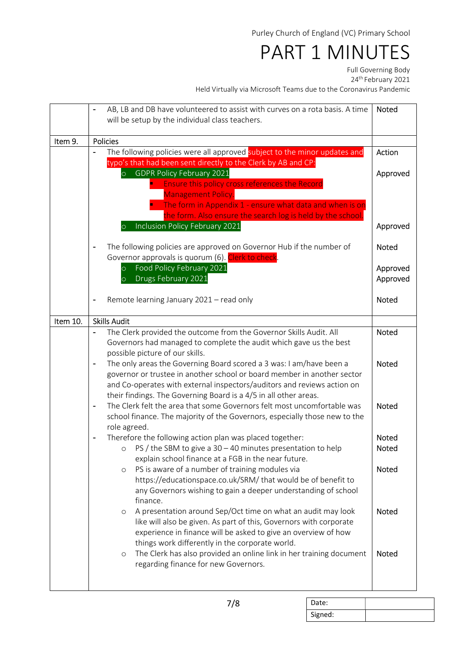## PART 1 MINUTES

Full Governing Body

24th February 2021

|          |                          | AB, LB and DB have volunteered to assist with curves on a rota basis. A time<br>will be setup by the individual class teachers.          | <b>Noted</b>         |
|----------|--------------------------|------------------------------------------------------------------------------------------------------------------------------------------|----------------------|
|          |                          |                                                                                                                                          |                      |
| Item 9.  |                          | <b>Policies</b>                                                                                                                          |                      |
|          |                          | The following policies were all approved subject to the minor updates and                                                                | Action               |
|          |                          | typo's that had been sent directly to the Clerk by AB and CP:                                                                            |                      |
|          |                          | <b>GDPR Policy February 2021</b>                                                                                                         | Approved             |
|          |                          | Ensure this policy cross references the Record<br><b>Management Policy.</b>                                                              |                      |
|          |                          | The form in Appendix 1 - ensure what data and when is on                                                                                 |                      |
|          |                          | the form. Also ensure the search log is held by the school.                                                                              |                      |
|          |                          | Inclusion Policy February 2021<br>$\overline{O}$                                                                                         | Approved             |
|          |                          |                                                                                                                                          |                      |
|          |                          | The following policies are approved on Governor Hub if the number of                                                                     | <b>Noted</b>         |
|          |                          | Governor approvals is quorum (6). Clerk to check.<br>Food Policy February 2021                                                           |                      |
|          |                          | $\circ$<br>Drugs February 2021<br>$\overline{O}$                                                                                         | Approved<br>Approved |
|          |                          |                                                                                                                                          |                      |
|          |                          | Remote learning January 2021 - read only                                                                                                 | <b>Noted</b>         |
|          |                          |                                                                                                                                          |                      |
| Item 10. |                          | <b>Skills Audit</b>                                                                                                                      |                      |
|          |                          | The Clerk provided the outcome from the Governor Skills Audit. All<br>Governors had managed to complete the audit which gave us the best | <b>Noted</b>         |
|          |                          | possible picture of our skills.                                                                                                          |                      |
|          | $\blacksquare$           | The only areas the Governing Board scored a 3 was: I am/have been a                                                                      | <b>Noted</b>         |
|          |                          | governor or trustee in another school or board member in another sector                                                                  |                      |
|          |                          | and Co-operates with external inspectors/auditors and reviews action on                                                                  |                      |
|          |                          | their findings. The Governing Board is a 4/5 in all other areas.                                                                         |                      |
|          | $\blacksquare$           | The Clerk felt the area that some Governors felt most uncomfortable was                                                                  | <b>Noted</b>         |
|          |                          | school finance. The majority of the Governors, especially those new to the<br>role agreed.                                               |                      |
|          | $\overline{\phantom{a}}$ | Therefore the following action plan was placed together:                                                                                 | <b>Noted</b>         |
|          |                          | PS / the SBM to give a $30 - 40$ minutes presentation to help<br>$\circ$                                                                 | <b>Noted</b>         |
|          |                          | explain school finance at a FGB in the near future.                                                                                      |                      |
|          |                          | PS is aware of a number of training modules via<br>$\circ$                                                                               | <b>Noted</b>         |
|          |                          | https://educationspace.co.uk/SRM/that would be of benefit to                                                                             |                      |
|          |                          | any Governors wishing to gain a deeper understanding of school                                                                           |                      |
|          |                          | finance.<br>A presentation around Sep/Oct time on what an audit may look<br>$\circ$                                                      | <b>Noted</b>         |
|          |                          | like will also be given. As part of this, Governors with corporate                                                                       |                      |
|          |                          | experience in finance will be asked to give an overview of how                                                                           |                      |
|          |                          | things work differently in the corporate world.                                                                                          |                      |
|          |                          | The Clerk has also provided an online link in her training document<br>$\circ$                                                           | <b>Noted</b>         |
|          |                          | regarding finance for new Governors.                                                                                                     |                      |
|          |                          |                                                                                                                                          |                      |

| Date:   |  |
|---------|--|
| Signed: |  |